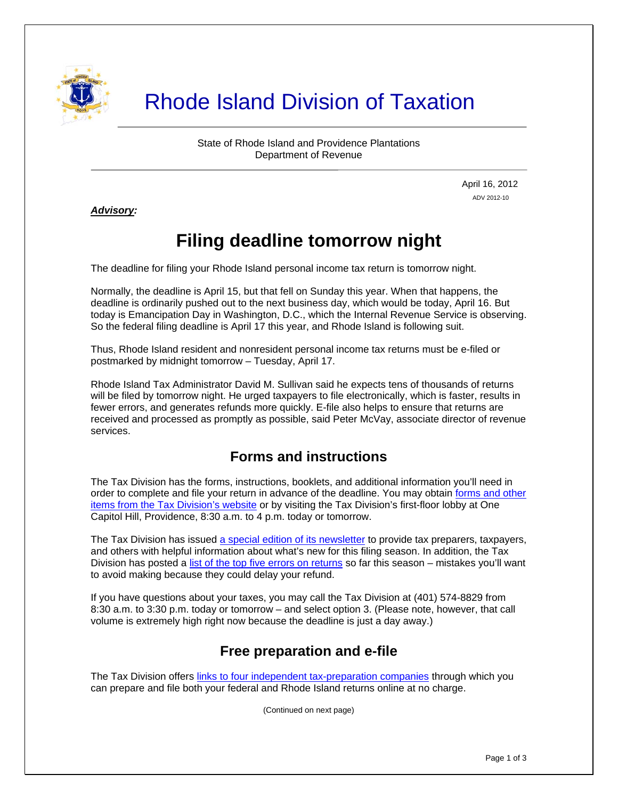

# Rhode Island Division of Taxation

State of Rhode Island and Providence Plantations Department of Revenue

> April 16, 2012 ADV 2012-10

*Advisory:* 

Ī

## **Filing deadline tomorrow night**

The deadline for filing your Rhode Island personal income tax return is tomorrow night.

Normally, the deadline is April 15, but that fell on Sunday this year. When that happens, the deadline is ordinarily pushed out to the next business day, which would be today, April 16. But today is Emancipation Day in Washington, D.C., which the Internal Revenue Service is observing. So the federal filing deadline is April 17 this year, and Rhode Island is following suit.

Thus, Rhode Island resident and nonresident personal income tax returns must be e-filed or postmarked by midnight tomorrow – Tuesday, April 17.

Rhode Island Tax Administrator David M. Sullivan said he expects tens of thousands of returns will be filed by tomorrow night. He urged taxpayers to file electronically, which is faster, results in fewer errors, and generates refunds more quickly. E-file also helps to ensure that returns are received and processed as promptly as possible, said Peter McVay, associate director of revenue services.

#### **Forms and instructions**

The Tax Division has the forms, instructions, booklets, and additional information you'll need in order to complete and file your return in advance of the deadline. You may obtain [forms and other](http://www.tax.ri.gov/taxforms/) [items from the Tax Division's website](http://www.tax.ri.gov/taxforms/) or by visiting the Tax Division's first-floor lobby at One Capitol Hill, Providence, 8:30 a.m. to 4 p.m. today or tomorrow.

The Tax Division has issued [a special edition of its newsletter](http://www.tax.ri.gov/newsletter/Rhode%20Island%20Division%20of%20Taxation%20Newsletter%20-%20Special%20Edition%20.pdf) to provide tax preparers, taxpayers, and others with helpful information about what's new for this filing season. In addition, the Tax Division has posted a [list of the top five errors on returns](http://www.tax.ri.gov/Advisory/ADV%202012-07.pdf) so far this season – mistakes you'll want to avoid making because they could delay your refund.

If you have questions about your taxes, you may call the Tax Division at (401) 574-8829 from 8:30 a.m. to 3:30 p.m. today or tomorrow – and select option 3. (Please note, however, that call volume is extremely high right now because the deadline is just a day away.)

#### **Free preparation and e-file**

The Tax Division offers [links to four independent tax-preparation companies](http://www.tax.ri.gov/misc/efile.php) through which you can prepare and file both your federal and Rhode Island returns online at no charge.

(Continued on next page)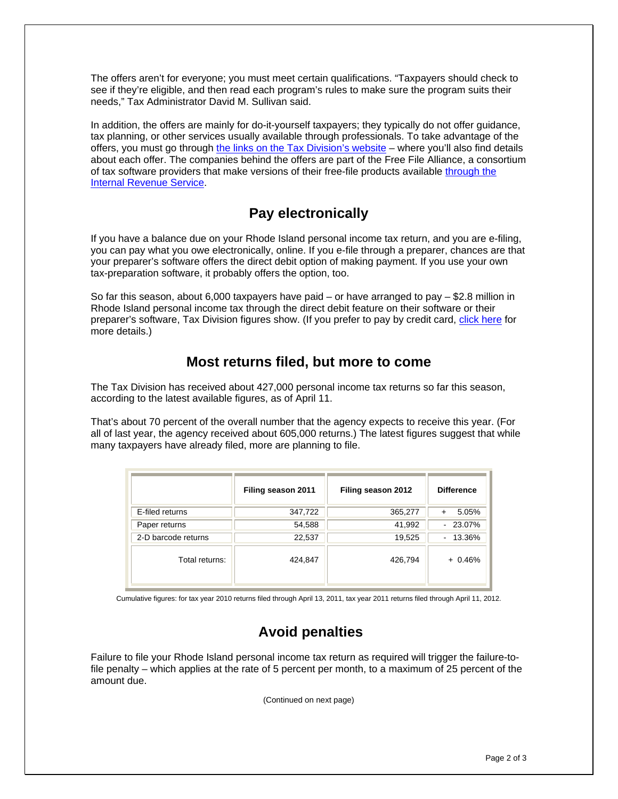The offers aren't for everyone; you must meet certain qualifications. "Taxpayers should check to see if they're eligible, and then read each program's rules to make sure the program suits their needs," Tax Administrator David M. Sullivan said.

In addition, the offers are mainly for do-it-yourself taxpayers; they typically do not offer guidance, tax planning, or other services usually available through professionals. To take advantage of the offers, you must go through [the links on the Tax Division's website](http://www.tax.ri.gov/misc/efile.php) – where you'll also find details about each offer. The companies behind the offers are part of the Free File Alliance, a consortium of tax software providers that make versions of their free-file products available [through the](http://www.irs.gov/newsroom/article/0,,id=252506,00.html)  [Internal Revenue Service](http://www.irs.gov/newsroom/article/0,,id=252506,00.html).

#### **Pay electronically**

If you have a balance due on your Rhode Island personal income tax return, and you are e-filing, you can pay what you owe electronically, online. If you e-file through a preparer, chances are that your preparer's software offers the direct debit option of making payment. If you use your own tax-preparation software, it probably offers the option, too.

So far this season, about 6,000 taxpayers have paid – or have arranged to pay – \$2.8 million in Rhode Island personal income tax through the direct debit feature on their software or their preparer's software, Tax Division figures show. (If you prefer to pay by credit card, [click here](http://www.tax.ri.gov/misc/creditcard.php) for more details.)

#### **Most returns filed, but more to come**

The Tax Division has received about 427,000 personal income tax returns so far this season, according to the latest available figures, as of April 11.

That's about 70 percent of the overall number that the agency expects to receive this year. (For all of last year, the agency received about 605,000 returns.) The latest figures suggest that while many taxpayers have already filed, more are planning to file.

|                     | Filing season 2011 | Filing season 2012 | <b>Difference</b> |
|---------------------|--------------------|--------------------|-------------------|
| E-filed returns     | 347,722            | 365,277            | 5.05%             |
| Paper returns       | 54,588             | 41,992             | $-23.07\%$        |
| 2-D barcode returns | 22,537             | 19,525             | $-13.36\%$        |
| Total returns:      | 424,847            | 426,794            | $+0.46%$          |

Cumulative figures: for tax year 2010 returns filed through April 13, 2011, tax year 2011 returns filed through April 11, 2012.

### **Avoid penalties**

Failure to file your Rhode Island personal income tax return as required will trigger the failure-tofile penalty – which applies at the rate of 5 percent per month, to a maximum of 25 percent of the amount due.

(Continued on next page)